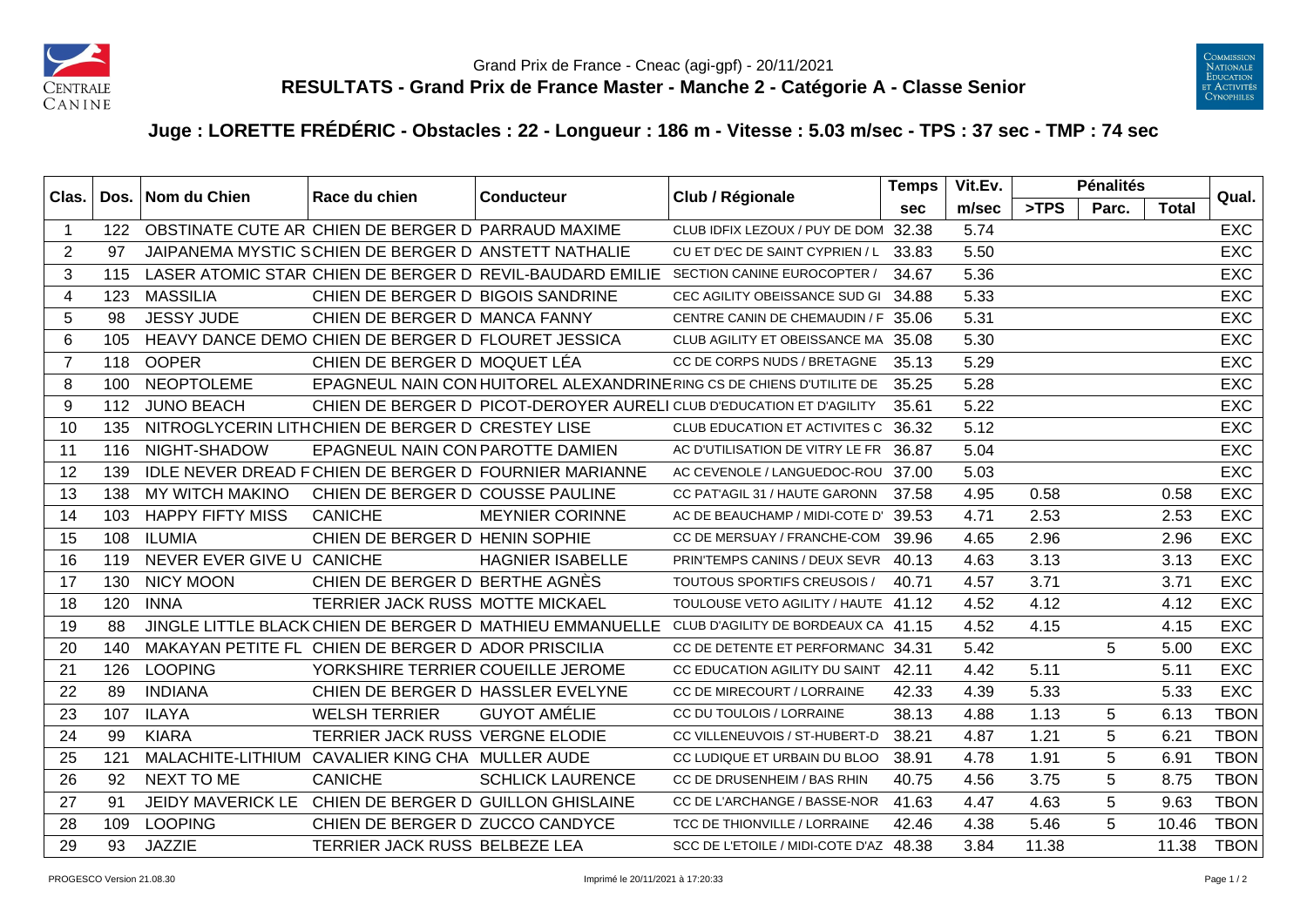



## **Juge : LORETTE FRÉDÉRIC - Obstacles : 22 - Longueur : 186 m - Vitesse : 5.03 m/sec - TPS : 37 sec - TMP : 74 sec**

| Clas.          |     | Dos.   Nom du Chien       | Race du chien                                        | <b>Conducteur</b>                                        | Club / Régionale                                                                             | <b>Temps</b> | Vit.Ev. |       | <b>Pénalités</b> |              | Qual.       |
|----------------|-----|---------------------------|------------------------------------------------------|----------------------------------------------------------|----------------------------------------------------------------------------------------------|--------------|---------|-------|------------------|--------------|-------------|
|                |     |                           |                                                      |                                                          |                                                                                              | sec          | m/sec   | >TPS  | Parc.            | <b>Total</b> |             |
|                | 122 |                           | OBSTINATE CUTE AR CHIEN DE BERGER D PARRAUD MAXIME   |                                                          | CLUB IDFIX LEZOUX / PUY DE DOM 32.38                                                         |              | 5.74    |       |                  |              | <b>EXC</b>  |
| 2              | 97  |                           | JAIPANEMA MYSTIC SCHIEN DE BERGER D ANSTETT NATHALIE |                                                          | CU ET D'EC DE SAINT CYPRIEN / L                                                              | 33.83        | 5.50    |       |                  |              | <b>EXC</b>  |
| 3              | 115 |                           |                                                      | LASER ATOMIC STAR CHIEN DE BERGER D REVIL-BAUDARD EMILIE | SECTION CANINE EUROCOPTER /                                                                  | 34.67        | 5.36    |       |                  |              | <b>EXC</b>  |
| 4              | 123 | <b>MASSILIA</b>           | CHIEN DE BERGER D BIGOIS SANDRINE                    |                                                          | CEC AGILITY OBEISSANCE SUD GI                                                                | 34.88        | 5.33    |       |                  |              | <b>EXC</b>  |
| 5              | 98  | <b>JESSY JUDE</b>         | CHIEN DE BERGER D MANCA FANNY                        |                                                          | CENTRE CANIN DE CHEMAUDIN / F 35.06                                                          |              | 5.31    |       |                  |              | <b>EXC</b>  |
| 6              | 105 |                           | HEAVY DANCE DEMO CHIEN DE BERGER D FLOURET JESSICA   |                                                          | CLUB AGILITY ET OBEISSANCE MA 35.08                                                          |              | 5.30    |       |                  |              | <b>EXC</b>  |
| $\overline{7}$ | 118 | <b>OOPER</b>              | CHIEN DE BERGER D MOQUET LÉA                         |                                                          | CC DE CORPS NUDS / BRETAGNE                                                                  | 35.13        | 5.29    |       |                  |              | <b>EXC</b>  |
| 8              | 100 | <b>NEOPTOLEME</b>         |                                                      |                                                          | EPAGNEUL NAIN CON HUITOREL ALEXANDRINERING CS DE CHIENS D'UTILITE DE                         | 35.25        | 5.28    |       |                  |              | <b>EXC</b>  |
| 9              | 112 | <b>JUNO BEACH</b>         |                                                      |                                                          | CHIEN DE BERGER D PICOT-DEROYER AURELI CLUB D'EDUCATION ET D'AGILITY                         | 35.61        | 5.22    |       |                  |              | <b>EXC</b>  |
| 10             | 135 |                           | NITROGLYCERIN LITHCHIEN DE BERGER D CRESTEY LISE     |                                                          | CLUB EDUCATION ET ACTIVITES C                                                                | 36.32        | 5.12    |       |                  |              | <b>EXC</b>  |
| 11             | 116 | NIGHT-SHADOW              | EPAGNEUL NAIN CON PAROTTE DAMIEN                     |                                                          | AC D'UTILISATION DE VITRY LE FR                                                              | 36.87        | 5.04    |       |                  |              | <b>EXC</b>  |
| 12             | 139 |                           |                                                      | IDLE NEVER DREAD FCHIEN DE BERGER D FOURNIER MARIANNE    | AC CEVENOLE / LANGUEDOC-ROU 37.00                                                            |              | 5.03    |       |                  |              | <b>EXC</b>  |
| 13             | 138 | MY WITCH MAKINO           | CHIEN DE BERGER D COUSSE PAULINE                     |                                                          | CC PAT'AGIL 31 / HAUTE GARONN                                                                | 37.58        | 4.95    | 0.58  |                  | 0.58         | <b>EXC</b>  |
| 14             | 103 | <b>HAPPY FIFTY MISS</b>   | <b>CANICHE</b>                                       | <b>MEYNIER CORINNE</b>                                   | AC DE BEAUCHAMP / MIDI-COTE D'                                                               | 39.53        | 4.71    | 2.53  |                  | 2.53         | <b>EXC</b>  |
| 15             | 108 | <b>ILUMIA</b>             | CHIEN DE BERGER D HENIN SOPHIE                       |                                                          | CC DE MERSUAY / FRANCHE-COM                                                                  | 39.96        | 4.65    | 2.96  |                  | 2.96         | EXC         |
| 16             | 119 | NEVER EVER GIVE U CANICHE |                                                      | <b>HAGNIER ISABELLE</b>                                  | PRIN'TEMPS CANINS / DEUX SEVR 40.13                                                          |              | 4.63    | 3.13  |                  | 3.13         | <b>EXC</b>  |
| 17             | 130 | <b>NICY MOON</b>          | CHIEN DE BERGER D BERTHE AGNÈS                       |                                                          | TOUTOUS SPORTIFS CREUSOIS /                                                                  | 40.71        | 4.57    | 3.71  |                  | 3.71         | <b>EXC</b>  |
| 18             | 120 | <b>INNA</b>               | TERRIER JACK RUSS MOTTE MICKAEL                      |                                                          | TOULOUSE VETO AGILITY / HAUTE                                                                | 41.12        | 4.52    | 4.12  |                  | 4.12         | <b>EXC</b>  |
| 19             | 88  |                           |                                                      |                                                          | JINGLE LITTLE BLACK CHIEN DE BERGER D MATHIEU EMMANUELLE CLUB D'AGILITY DE BORDEAUX CA 41.15 |              | 4.52    | 4.15  |                  | 4.15         | <b>EXC</b>  |
| 20             | 140 |                           | MAKAYAN PETITE FL CHIEN DE BERGER D ADOR PRISCILIA   |                                                          | CC DE DETENTE ET PERFORMANC 34.31                                                            |              | 5.42    |       | 5                | 5.00         | <b>EXC</b>  |
| 21             | 126 | <b>LOOPING</b>            | YORKSHIRE TERRIER COUEILLE JEROME                    |                                                          | CC EDUCATION AGILITY DU SAINT 42.11                                                          |              | 4.42    | 5.11  |                  | 5.11         | <b>EXC</b>  |
| 22             | 89  | <b>INDIANA</b>            | CHIEN DE BERGER D HASSLER EVELYNE                    |                                                          | CC DE MIRECOURT / LORRAINE                                                                   | 42.33        | 4.39    | 5.33  |                  | 5.33         | <b>EXC</b>  |
| 23             | 107 | <b>ILAYA</b>              | <b>WELSH TERRIER</b>                                 | <b>GUYOT AMÉLIE</b>                                      | CC DU TOULOIS / LORRAINE                                                                     | 38.13        | 4.88    | 1.13  | 5                | 6.13         | <b>TBON</b> |
| 24             | 99  | <b>KIARA</b>              | TERRIER JACK RUSS VERGNE ELODIE                      |                                                          | CC VILLENEUVOIS / ST-HUBERT-D                                                                | 38.21        | 4.87    | 1.21  | 5                | 6.21         | <b>TBON</b> |
| 25             | 121 |                           | MALACHITE-LITHIUM CAVALIER KING CHA MULLER AUDE      |                                                          | CC LUDIQUE ET URBAIN DU BLOO                                                                 | 38.91        | 4.78    | 1.91  | 5                | 6.91         | <b>TBON</b> |
| 26             | 92  | <b>NEXT TO ME</b>         | <b>CANICHE</b>                                       | <b>SCHLICK LAURENCE</b>                                  | CC DE DRUSENHEIM / BAS RHIN                                                                  | 40.75        | 4.56    | 3.75  | 5                | 8.75         | <b>TBON</b> |
| 27             | 91  | <b>JEIDY MAVERICK LE</b>  | CHIEN DE BERGER D GUILLON GHISLAINE                  |                                                          | CC DE L'ARCHANGE / BASSE-NOR                                                                 | 41.63        | 4.47    | 4.63  | 5                | 9.63         | <b>TBON</b> |
| 28             | 109 | <b>LOOPING</b>            | CHIEN DE BERGER D ZUCCO CANDYCE                      |                                                          | TCC DE THIONVILLE / LORRAINE                                                                 | 42.46        | 4.38    | 5.46  | 5                | 10.46        | <b>TBON</b> |
| 29             | 93  | JAZZIE                    | TERRIER JACK RUSS BELBEZE LEA                        |                                                          | SCC DE L'ETOILE / MIDI-COTE D'AZ 48.38                                                       |              | 3.84    | 11.38 |                  | 11.38        | <b>TBON</b> |